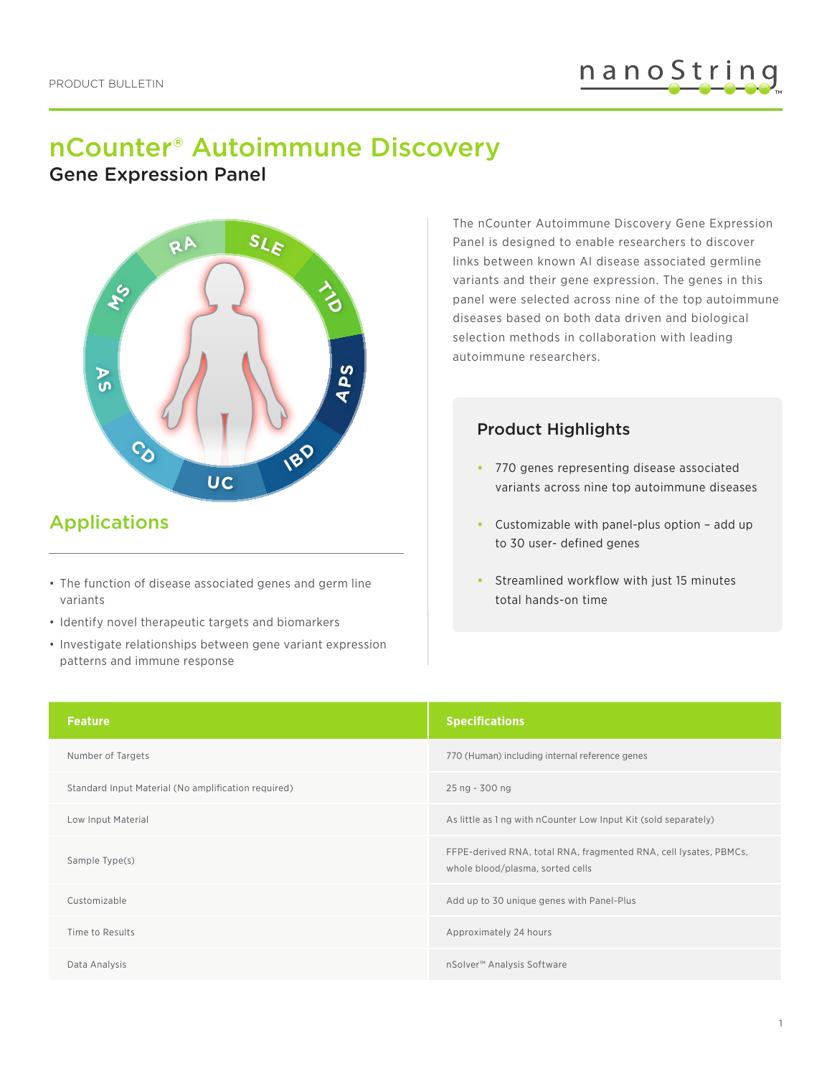# nCounter® Autoimmune Discovery

Gene Expression Panel



## Applications

- The function of disease associated genes and germ line variants
- Identify novel therapeutic targets and biomarkers
- Investigate relationships between gene variant expression patterns and immune response

The nCounter Autoimmune Discovery Gene Expression Panel is designed to enable researchers to discover links between known AI disease associated germline variants and their gene expression. The genes in this panel were selected across nine of the top autoimmune diseases based on both data driven and biological selection methods in collaboration with leading autoimmune researchers.

#### Product Highlights

- **•** 770 genes representing disease associated variants across nine top autoimmune diseases
- **•** Customizable with panel-plus option add up to 30 user- defined genes
- **•** Streamlined workflow with just 15 minutes total hands-on time

| <b>Feature</b>                                      | <b>Specifications</b>                                                                                 |
|-----------------------------------------------------|-------------------------------------------------------------------------------------------------------|
| Number of Targets                                   | 770 (Human) including internal reference genes                                                        |
| Standard Input Material (No amplification required) | 25 ng - 300 ng                                                                                        |
| Low Input Material                                  | As little as 1 ng with nCounter Low Input Kit (sold separately)                                       |
| Sample Type(s)                                      | FFPE-derived RNA, total RNA, fragmented RNA, cell lysates, PBMCs,<br>whole blood/plasma, sorted cells |
| Customizable                                        | Add up to 30 unique genes with Panel-Plus                                                             |
| Time to Results                                     | Approximately 24 hours                                                                                |
| Data Analysis                                       | nSolver <sup>™</sup> Analysis Software                                                                |